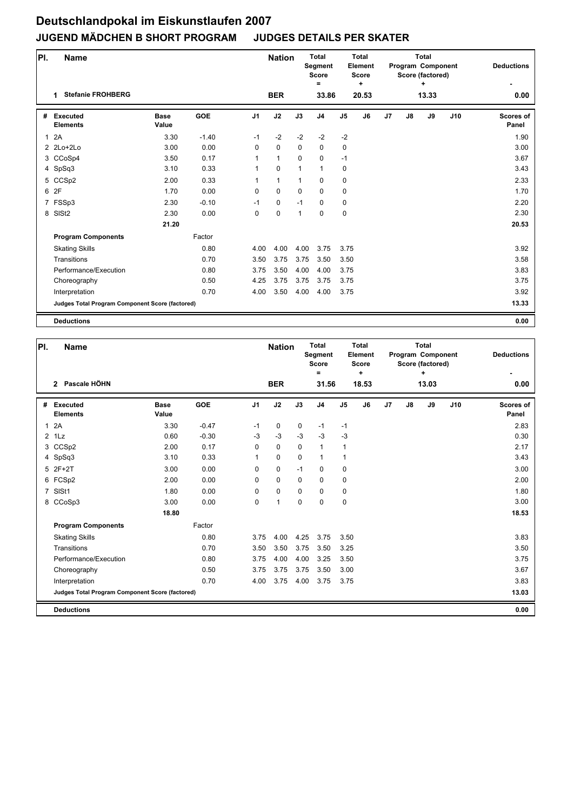| PI.          | <b>Name</b>                                     |                      |            |                | <b>Nation</b> |              | <b>Total</b><br>Segment<br><b>Score</b><br>$=$ |                | <b>Total</b><br>Element<br><b>Score</b><br>٠ |    |    | <b>Total</b><br>Program Component<br>Score (factored)<br>٠ |     | <b>Deductions</b>         |
|--------------|-------------------------------------------------|----------------------|------------|----------------|---------------|--------------|------------------------------------------------|----------------|----------------------------------------------|----|----|------------------------------------------------------------|-----|---------------------------|
|              | <b>Stefanie FROHBERG</b><br>1                   |                      |            |                | <b>BER</b>    |              | 33.86                                          |                | 20.53                                        |    |    | 13.33                                                      |     | 0.00                      |
| #            | <b>Executed</b><br><b>Elements</b>              | <b>Base</b><br>Value | <b>GOE</b> | J <sub>1</sub> | J2            | J3           | J <sub>4</sub>                                 | J <sub>5</sub> | J6                                           | J7 | J8 | J9                                                         | J10 | <b>Scores of</b><br>Panel |
| $\mathbf{1}$ | 2A                                              | 3.30                 | $-1.40$    | $-1$           | $-2$          | $-2$         | $-2$                                           | $-2$           |                                              |    |    |                                                            |     | 1.90                      |
|              | 2 2Lo+2Lo                                       | 3.00                 | 0.00       | $\Omega$       | $\mathbf 0$   | $\Omega$     | $\mathbf 0$                                    | 0              |                                              |    |    |                                                            |     | 3.00                      |
|              | 3 CCoSp4                                        | 3.50                 | 0.17       | 1              | $\mathbf{1}$  | $\mathbf 0$  | $\mathbf 0$                                    | $-1$           |                                              |    |    |                                                            |     | 3.67                      |
|              | 4 SpSq3                                         | 3.10                 | 0.33       | 1              | 0             | $\mathbf{1}$ | $\mathbf{1}$                                   | 0              |                                              |    |    |                                                            |     | 3.43                      |
|              | 5 CCSp2                                         | 2.00                 | 0.33       | 1              | $\mathbf{1}$  | $\mathbf{1}$ | $\mathbf 0$                                    | 0              |                                              |    |    |                                                            |     | 2.33                      |
|              | 6 2F                                            | 1.70                 | 0.00       | $\Omega$       | $\Omega$      | $\Omega$     | $\Omega$                                       | 0              |                                              |    |    |                                                            |     | 1.70                      |
|              | 7 FSSp3                                         | 2.30                 | $-0.10$    | $-1$           | 0             | $-1$         | $\mathbf 0$                                    | 0              |                                              |    |    |                                                            |     | 2.20                      |
|              | 8 SISt2                                         | 2.30                 | 0.00       | 0              | 0             | $\mathbf{1}$ | $\mathbf 0$                                    | 0              |                                              |    |    |                                                            |     | 2.30                      |
|              |                                                 | 21.20                |            |                |               |              |                                                |                |                                              |    |    |                                                            |     | 20.53                     |
|              | <b>Program Components</b>                       |                      | Factor     |                |               |              |                                                |                |                                              |    |    |                                                            |     |                           |
|              | <b>Skating Skills</b>                           |                      | 0.80       | 4.00           | 4.00          | 4.00         | 3.75                                           | 3.75           |                                              |    |    |                                                            |     | 3.92                      |
|              | Transitions                                     |                      | 0.70       | 3.50           | 3.75          | 3.75         | 3.50                                           | 3.50           |                                              |    |    |                                                            |     | 3.58                      |
|              | Performance/Execution                           |                      | 0.80       | 3.75           | 3.50          | 4.00         | 4.00                                           | 3.75           |                                              |    |    |                                                            |     | 3.83                      |
|              | Choreography                                    |                      | 0.50       | 4.25           | 3.75          | 3.75         | 3.75                                           | 3.75           |                                              |    |    |                                                            |     | 3.75                      |
|              | Interpretation                                  |                      | 0.70       | 4.00           | 3.50          | 4.00         | 4.00                                           | 3.75           |                                              |    |    |                                                            |     | 3.92                      |
|              | Judges Total Program Component Score (factored) |                      |            |                |               |              |                                                |                |                                              |    |    |                                                            |     | 13.33                     |
|              | <b>Deductions</b>                               |                      |            |                |               |              |                                                |                |                                              |    |    |                                                            |     | 0.00                      |

| PI.            | Name                                            |                      |            |                | <b>Nation</b> |             | Total<br>Segment<br><b>Score</b><br>Ξ |                | <b>Total</b><br>Element<br><b>Score</b><br>٠ |    |    | <b>Total</b><br>Program Component<br>Score (factored)<br>$\ddot{}$ |     | <b>Deductions</b>         |
|----------------|-------------------------------------------------|----------------------|------------|----------------|---------------|-------------|---------------------------------------|----------------|----------------------------------------------|----|----|--------------------------------------------------------------------|-----|---------------------------|
|                | Pascale HÖHN<br>$\overline{2}$                  |                      |            |                | <b>BER</b>    |             | 31.56                                 |                | 18.53                                        |    |    | 13.03                                                              |     | 0.00                      |
| #              | <b>Executed</b><br><b>Elements</b>              | <b>Base</b><br>Value | <b>GOE</b> | J <sub>1</sub> | J2            | J3          | J <sub>4</sub>                        | J <sub>5</sub> | J6                                           | J7 | J8 | J9                                                                 | J10 | <b>Scores of</b><br>Panel |
| 1              | 2A                                              | 3.30                 | $-0.47$    | $-1$           | $\pmb{0}$     | $\mathbf 0$ | $-1$                                  | $-1$           |                                              |    |    |                                                                    |     | 2.83                      |
|                | $2$ 1 Lz                                        | 0.60                 | $-0.30$    | $-3$           | $-3$          | $-3$        | $-3$                                  | $-3$           |                                              |    |    |                                                                    |     | 0.30                      |
|                | 3 CCSp2                                         | 2.00                 | 0.17       | 0              | $\mathbf 0$   | $\mathbf 0$ | 1                                     | 1              |                                              |    |    |                                                                    |     | 2.17                      |
|                | 4 SpSq3                                         | 3.10                 | 0.33       | 1              | $\mathbf 0$   | $\Omega$    | 1                                     | $\mathbf{1}$   |                                              |    |    |                                                                    |     | 3.43                      |
|                | 5 2F+2T                                         | 3.00                 | 0.00       | $\Omega$       | $\mathbf 0$   | $-1$        | $\mathbf 0$                           | 0              |                                              |    |    |                                                                    |     | 3.00                      |
|                | 6 FCSp2                                         | 2.00                 | 0.00       | $\mathbf 0$    | $\mathbf 0$   | $\mathbf 0$ | $\mathbf 0$                           | $\mathbf 0$    |                                              |    |    |                                                                    |     | 2.00                      |
| $\overline{7}$ | SISt1                                           | 1.80                 | 0.00       | 0              | $\mathbf 0$   | $\mathbf 0$ | $\mathbf 0$                           | $\mathbf 0$    |                                              |    |    |                                                                    |     | 1.80                      |
|                | 8 CCoSp3                                        | 3.00                 | 0.00       | $\mathbf 0$    | $\mathbf{1}$  | $\mathbf 0$ | $\mathbf 0$                           | $\pmb{0}$      |                                              |    |    |                                                                    |     | 3.00                      |
|                |                                                 | 18.80                |            |                |               |             |                                       |                |                                              |    |    |                                                                    |     | 18.53                     |
|                | <b>Program Components</b>                       |                      | Factor     |                |               |             |                                       |                |                                              |    |    |                                                                    |     |                           |
|                | <b>Skating Skills</b>                           |                      | 0.80       | 3.75           | 4.00          | 4.25        | 3.75                                  | 3.50           |                                              |    |    |                                                                    |     | 3.83                      |
|                | Transitions                                     |                      | 0.70       | 3.50           | 3.50          | 3.75        | 3.50                                  | 3.25           |                                              |    |    |                                                                    |     | 3.50                      |
|                | Performance/Execution                           |                      | 0.80       | 3.75           | 4.00          | 4.00        | 3.25                                  | 3.50           |                                              |    |    |                                                                    |     | 3.75                      |
|                | Choreography                                    |                      | 0.50       | 3.75           | 3.75          | 3.75        | 3.50                                  | 3.00           |                                              |    |    |                                                                    |     | 3.67                      |
|                | Interpretation                                  |                      | 0.70       | 4.00           | 3.75          | 4.00        | 3.75                                  | 3.75           |                                              |    |    |                                                                    |     | 3.83                      |
|                | Judges Total Program Component Score (factored) |                      |            |                |               |             |                                       |                |                                              |    |    |                                                                    |     | 13.03                     |
|                | <b>Deductions</b>                               |                      |            |                |               |             |                                       |                |                                              |    |    |                                                                    |     | 0.00                      |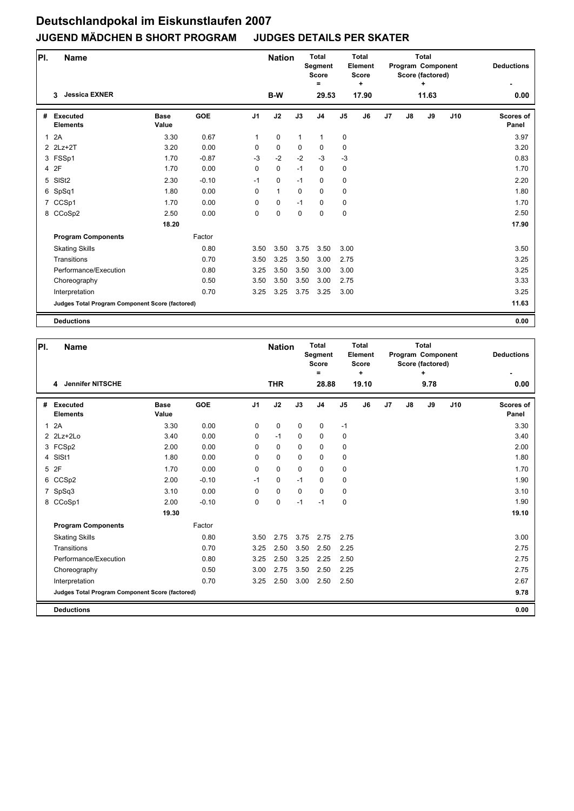| PI.          | <b>Name</b>                                     |                      |            |                | <b>Nation</b> |              | <b>Total</b><br>Segment<br><b>Score</b><br>$=$ |                | <b>Total</b><br>Element<br><b>Score</b><br>٠ |    |    | <b>Total</b><br>Program Component<br>Score (factored)<br>٠ |     | <b>Deductions</b>         |
|--------------|-------------------------------------------------|----------------------|------------|----------------|---------------|--------------|------------------------------------------------|----------------|----------------------------------------------|----|----|------------------------------------------------------------|-----|---------------------------|
|              | <b>Jessica EXNER</b><br>3                       |                      |            |                | B-W           |              | 29.53                                          |                | 17.90                                        |    |    | 11.63                                                      |     | 0.00                      |
| #            | <b>Executed</b><br><b>Elements</b>              | <b>Base</b><br>Value | <b>GOE</b> | J <sub>1</sub> | J2            | J3           | J <sub>4</sub>                                 | J <sub>5</sub> | J6                                           | J7 | J8 | J9                                                         | J10 | <b>Scores of</b><br>Panel |
| $\mathbf{1}$ | 2A                                              | 3.30                 | 0.67       | 1              | 0             | $\mathbf{1}$ | $\mathbf{1}$                                   | 0              |                                              |    |    |                                                            |     | 3.97                      |
|              | 2 2Lz+2T                                        | 3.20                 | 0.00       | 0              | 0             | $\mathbf 0$  | $\mathbf 0$                                    | 0              |                                              |    |    |                                                            |     | 3.20                      |
|              | 3 FSSp1                                         | 1.70                 | $-0.87$    | $-3$           | $-2$          | $-2$         | $-3$                                           | $-3$           |                                              |    |    |                                                            |     | 0.83                      |
|              | 4 2F                                            | 1.70                 | 0.00       | 0              | 0             | $-1$         | $\mathbf 0$                                    | 0              |                                              |    |    |                                                            |     | 1.70                      |
| 5            | SISt <sub>2</sub>                               | 2.30                 | $-0.10$    | $-1$           | 0             | $-1$         | $\mathbf 0$                                    | 0              |                                              |    |    |                                                            |     | 2.20                      |
|              | 6 SpSq1                                         | 1.80                 | 0.00       | $\Omega$       | $\mathbf{1}$  | $\Omega$     | $\mathbf 0$                                    | 0              |                                              |    |    |                                                            |     | 1.80                      |
|              | 7 CCSp1                                         | 1.70                 | 0.00       | 0              | 0             | $-1$         | $\mathbf 0$                                    | 0              |                                              |    |    |                                                            |     | 1.70                      |
|              | 8 CCoSp2                                        | 2.50                 | 0.00       | 0              | 0             | $\mathbf 0$  | $\mathbf 0$                                    | 0              |                                              |    |    |                                                            |     | 2.50                      |
|              |                                                 | 18.20                |            |                |               |              |                                                |                |                                              |    |    |                                                            |     | 17.90                     |
|              | <b>Program Components</b>                       |                      | Factor     |                |               |              |                                                |                |                                              |    |    |                                                            |     |                           |
|              | <b>Skating Skills</b>                           |                      | 0.80       | 3.50           | 3.50          | 3.75         | 3.50                                           | 3.00           |                                              |    |    |                                                            |     | 3.50                      |
|              | Transitions                                     |                      | 0.70       | 3.50           | 3.25          | 3.50         | 3.00                                           | 2.75           |                                              |    |    |                                                            |     | 3.25                      |
|              | Performance/Execution                           |                      | 0.80       | 3.25           | 3.50          | 3.50         | 3.00                                           | 3.00           |                                              |    |    |                                                            |     | 3.25                      |
|              | Choreography                                    |                      | 0.50       | 3.50           | 3.50          | 3.50         | 3.00                                           | 2.75           |                                              |    |    |                                                            |     | 3.33                      |
|              | Interpretation                                  |                      | 0.70       | 3.25           | 3.25          | 3.75         | 3.25                                           | 3.00           |                                              |    |    |                                                            |     | 3.25                      |
|              | Judges Total Program Component Score (factored) |                      |            |                |               |              |                                                |                |                                              |    |    |                                                            |     | 11.63                     |
|              | <b>Deductions</b>                               |                      |            |                |               |              |                                                |                |                                              |    |    |                                                            |     | 0.00                      |

| PI.            | <b>Name</b>                                     |                      |            |                | <b>Nation</b> |             | <b>Total</b><br>Segment<br><b>Score</b><br>$\equiv$ |                | Total<br>Element<br><b>Score</b><br>٠ |    |               | <b>Total</b><br>Program Component<br>Score (factored)<br>$\ddot{}$ |     | <b>Deductions</b>         |
|----------------|-------------------------------------------------|----------------------|------------|----------------|---------------|-------------|-----------------------------------------------------|----------------|---------------------------------------|----|---------------|--------------------------------------------------------------------|-----|---------------------------|
|                | <b>Jennifer NITSCHE</b><br>4                    |                      |            |                | <b>THR</b>    |             | 28.88                                               |                | 19.10                                 |    |               | 9.78                                                               |     | 0.00                      |
| #              | Executed<br><b>Elements</b>                     | <b>Base</b><br>Value | <b>GOE</b> | J <sub>1</sub> | J2            | J3          | J <sub>4</sub>                                      | J <sub>5</sub> | J6                                    | J7 | $\mathsf{J}8$ | J9                                                                 | J10 | <b>Scores of</b><br>Panel |
| $\mathbf{1}$   | 2A                                              | 3.30                 | 0.00       | 0              | $\mathbf 0$   | $\mathbf 0$ | 0                                                   | $-1$           |                                       |    |               |                                                                    |     | 3.30                      |
|                | $2$ $2Lz+2Lo$                                   | 3.40                 | 0.00       | 0              | $-1$          | $\mathbf 0$ | 0                                                   | 0              |                                       |    |               |                                                                    |     | 3.40                      |
|                | 3 FCSp2                                         | 2.00                 | 0.00       | 0              | $\mathbf 0$   | $\Omega$    | $\Omega$                                            | 0              |                                       |    |               |                                                                    |     | 2.00                      |
| $\overline{4}$ | SISt1                                           | 1.80                 | 0.00       | $\Omega$       | $\mathbf 0$   | $\Omega$    | 0                                                   | 0              |                                       |    |               |                                                                    |     | 1.80                      |
| 5              | 2F                                              | 1.70                 | 0.00       | 0              | $\mathbf 0$   | $\Omega$    | $\Omega$                                            | 0              |                                       |    |               |                                                                    |     | 1.70                      |
|                | 6 CCSp2                                         | 2.00                 | $-0.10$    | $-1$           | 0             | $-1$        | 0                                                   | 0              |                                       |    |               |                                                                    |     | 1.90                      |
|                | 7 SpSq3                                         | 3.10                 | 0.00       | $\Omega$       | $\mathbf 0$   | $\Omega$    | $\Omega$                                            | 0              |                                       |    |               |                                                                    |     | 3.10                      |
|                | 8 CCoSp1                                        | 2.00                 | $-0.10$    | 0              | 0             | $-1$        | $-1$                                                | 0              |                                       |    |               |                                                                    |     | 1.90                      |
|                |                                                 | 19.30                |            |                |               |             |                                                     |                |                                       |    |               |                                                                    |     | 19.10                     |
|                | <b>Program Components</b>                       |                      | Factor     |                |               |             |                                                     |                |                                       |    |               |                                                                    |     |                           |
|                | <b>Skating Skills</b>                           |                      | 0.80       | 3.50           | 2.75          | 3.75        | 2.75                                                | 2.75           |                                       |    |               |                                                                    |     | 3.00                      |
|                | Transitions                                     |                      | 0.70       | 3.25           | 2.50          | 3.50        | 2.50                                                | 2.25           |                                       |    |               |                                                                    |     | 2.75                      |
|                | Performance/Execution                           |                      | 0.80       | 3.25           | 2.50          | 3.25        | 2.25                                                | 2.50           |                                       |    |               |                                                                    |     | 2.75                      |
|                | Choreography                                    |                      | 0.50       | 3.00           | 2.75          | 3.50        | 2.50                                                | 2.25           |                                       |    |               |                                                                    |     | 2.75                      |
|                | Interpretation                                  |                      | 0.70       | 3.25           | 2.50          | 3.00        | 2.50                                                | 2.50           |                                       |    |               |                                                                    |     | 2.67                      |
|                | Judges Total Program Component Score (factored) |                      |            |                |               |             |                                                     |                |                                       |    |               |                                                                    |     | 9.78                      |
|                | <b>Deductions</b>                               |                      |            |                |               |             |                                                     |                |                                       |    |               |                                                                    |     | 0.00                      |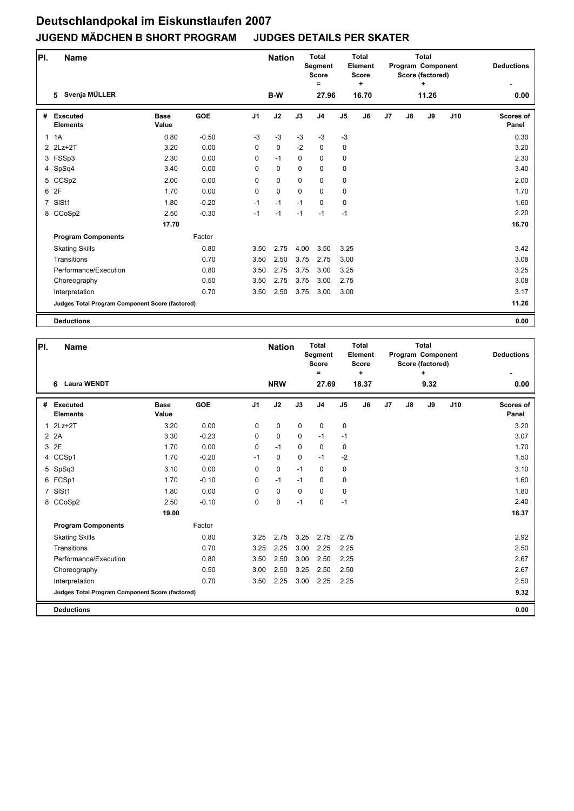| PI. | <b>Name</b>                                     |                      |            |                | <b>Nation</b> |             | <b>Total</b><br>Segment<br><b>Score</b><br>$=$ |                | <b>Total</b><br>Element<br><b>Score</b><br>٠ |    |    | <b>Total</b><br>Program Component<br>Score (factored)<br>٠ |     | <b>Deductions</b>         |
|-----|-------------------------------------------------|----------------------|------------|----------------|---------------|-------------|------------------------------------------------|----------------|----------------------------------------------|----|----|------------------------------------------------------------|-----|---------------------------|
|     | Svenja MÜLLER<br>5                              |                      |            |                | B-W           |             | 27.96                                          |                | 16.70                                        |    |    | 11.26                                                      |     | 0.00                      |
| #   | <b>Executed</b><br><b>Elements</b>              | <b>Base</b><br>Value | <b>GOE</b> | J <sub>1</sub> | J2            | J3          | J <sub>4</sub>                                 | J <sub>5</sub> | J6                                           | J7 | J8 | J9                                                         | J10 | <b>Scores of</b><br>Panel |
|     | 1.1A                                            | 0.80                 | $-0.50$    | $-3$           | $-3$          | $-3$        | $-3$                                           | $-3$           |                                              |    |    |                                                            |     | 0.30                      |
|     | 2 2Lz+2T                                        | 3.20                 | 0.00       | 0              | $\mathbf 0$   | $-2$        | $\mathbf 0$                                    | 0              |                                              |    |    |                                                            |     | 3.20                      |
|     | 3 FSSp3                                         | 2.30                 | 0.00       | 0              | $-1$          | $\mathbf 0$ | $\mathbf 0$                                    | 0              |                                              |    |    |                                                            |     | 2.30                      |
|     | 4 SpSq4                                         | 3.40                 | 0.00       | 0              | 0             | $\mathbf 0$ | $\mathbf 0$                                    | 0              |                                              |    |    |                                                            |     | 3.40                      |
|     | 5 CCSp2                                         | 2.00                 | 0.00       | 0              | 0             | $\mathbf 0$ | $\mathbf 0$                                    | 0              |                                              |    |    |                                                            |     | 2.00                      |
|     | 6 2F                                            | 1.70                 | 0.00       | $\Omega$       | 0             | $\Omega$    | $\mathbf 0$                                    | 0              |                                              |    |    |                                                            |     | 1.70                      |
| 7   | SISt1                                           | 1.80                 | $-0.20$    | $-1$           | $-1$          | $-1$        | $\mathbf 0$                                    | 0              |                                              |    |    |                                                            |     | 1.60                      |
|     | 8 CCoSp2                                        | 2.50                 | $-0.30$    | $-1$           | $-1$          | $-1$        | $-1$                                           | $-1$           |                                              |    |    |                                                            |     | 2.20                      |
|     |                                                 | 17.70                |            |                |               |             |                                                |                |                                              |    |    |                                                            |     | 16.70                     |
|     | <b>Program Components</b>                       |                      | Factor     |                |               |             |                                                |                |                                              |    |    |                                                            |     |                           |
|     | <b>Skating Skills</b>                           |                      | 0.80       | 3.50           | 2.75          | 4.00        | 3.50                                           | 3.25           |                                              |    |    |                                                            |     | 3.42                      |
|     | Transitions                                     |                      | 0.70       | 3.50           | 2.50          | 3.75        | 2.75                                           | 3.00           |                                              |    |    |                                                            |     | 3.08                      |
|     | Performance/Execution                           |                      | 0.80       | 3.50           | 2.75          | 3.75        | 3.00                                           | 3.25           |                                              |    |    |                                                            |     | 3.25                      |
|     | Choreography                                    |                      | 0.50       | 3.50           | 2.75          | 3.75        | 3.00                                           | 2.75           |                                              |    |    |                                                            |     | 3.08                      |
|     | Interpretation                                  |                      | 0.70       | 3.50           | 2.50          | 3.75        | 3.00                                           | 3.00           |                                              |    |    |                                                            |     | 3.17                      |
|     | Judges Total Program Component Score (factored) |                      |            |                |               |             |                                                |                |                                              |    |    |                                                            |     | 11.26                     |
|     | <b>Deductions</b>                               |                      |            |                |               |             |                                                |                |                                              |    |    |                                                            |     | 0.00                      |

| PI.            | <b>Name</b>                                     |                      |            |                | <b>Nation</b> |             | <b>Total</b><br><b>Segment</b><br><b>Score</b><br>Ξ |                | <b>Total</b><br>Element<br><b>Score</b><br>٠ |    |               | <b>Total</b><br>Program Component<br>Score (factored)<br>÷ |     | <b>Deductions</b>         |
|----------------|-------------------------------------------------|----------------------|------------|----------------|---------------|-------------|-----------------------------------------------------|----------------|----------------------------------------------|----|---------------|------------------------------------------------------------|-----|---------------------------|
|                | <b>Laura WENDT</b><br>6                         |                      |            |                | <b>NRW</b>    |             | 27.69                                               |                | 18.37                                        |    |               | 9.32                                                       |     | 0.00                      |
| #              | <b>Executed</b><br><b>Elements</b>              | <b>Base</b><br>Value | <b>GOE</b> | J <sub>1</sub> | J2            | J3          | J <sub>4</sub>                                      | J <sub>5</sub> | J6                                           | J7 | $\mathsf{J}8$ | J9                                                         | J10 | <b>Scores of</b><br>Panel |
| $\mathbf{1}$   | $2Lz+2T$                                        | 3.20                 | 0.00       | 0              | 0             | $\mathbf 0$ | 0                                                   | 0              |                                              |    |               |                                                            |     | 3.20                      |
|                | 2A                                              | 3.30                 | $-0.23$    | 0              | $\mathbf 0$   | 0           | $-1$                                                | $-1$           |                                              |    |               |                                                            |     | 3.07                      |
| 3              | 2F                                              | 1.70                 | 0.00       | 0              | $-1$          | $\Omega$    | $\mathbf 0$                                         | 0              |                                              |    |               |                                                            |     | 1.70                      |
|                | 4 CCSp1                                         | 1.70                 | $-0.20$    | $-1$           | $\mathbf 0$   | $\Omega$    | $-1$                                                | $-2$           |                                              |    |               |                                                            |     | 1.50                      |
|                | 5 SpSq3                                         | 3.10                 | 0.00       | 0              | $\mathbf 0$   | $-1$        | $\Omega$                                            | 0              |                                              |    |               |                                                            |     | 3.10                      |
|                | 6 FCSp1                                         | 1.70                 | $-0.10$    | 0              | $-1$          | $-1$        | $\mathbf 0$                                         | 0              |                                              |    |               |                                                            |     | 1.60                      |
| $\overline{7}$ | SISt1                                           | 1.80                 | 0.00       | 0              | $\mathbf 0$   | $\Omega$    | 0                                                   | $\pmb{0}$      |                                              |    |               |                                                            |     | 1.80                      |
|                | 8 CCoSp2                                        | 2.50                 | $-0.10$    | 0              | $\mathbf 0$   | $-1$        | $\mathbf 0$                                         | $-1$           |                                              |    |               |                                                            |     | 2.40                      |
|                |                                                 | 19.00                |            |                |               |             |                                                     |                |                                              |    |               |                                                            |     | 18.37                     |
|                | <b>Program Components</b>                       |                      | Factor     |                |               |             |                                                     |                |                                              |    |               |                                                            |     |                           |
|                | <b>Skating Skills</b>                           |                      | 0.80       | 3.25           | 2.75          | 3.25        | 2.75                                                | 2.75           |                                              |    |               |                                                            |     | 2.92                      |
|                | Transitions                                     |                      | 0.70       | 3.25           | 2.25          | 3.00        | 2.25                                                | 2.25           |                                              |    |               |                                                            |     | 2.50                      |
|                | Performance/Execution                           |                      | 0.80       | 3.50           | 2.50          | 3.00        | 2.50                                                | 2.25           |                                              |    |               |                                                            |     | 2.67                      |
|                | Choreography                                    |                      | 0.50       | 3.00           | 2.50          | 3.25        | 2.50                                                | 2.50           |                                              |    |               |                                                            |     | 2.67                      |
|                | Interpretation                                  |                      | 0.70       | 3.50           | 2.25          | 3.00        | 2.25                                                | 2.25           |                                              |    |               |                                                            |     | 2.50                      |
|                | Judges Total Program Component Score (factored) |                      |            |                |               |             |                                                     |                |                                              |    |               |                                                            |     | 9.32                      |
|                | <b>Deductions</b>                               |                      |            |                |               |             |                                                     |                |                                              |    |               |                                                            |     | 0.00                      |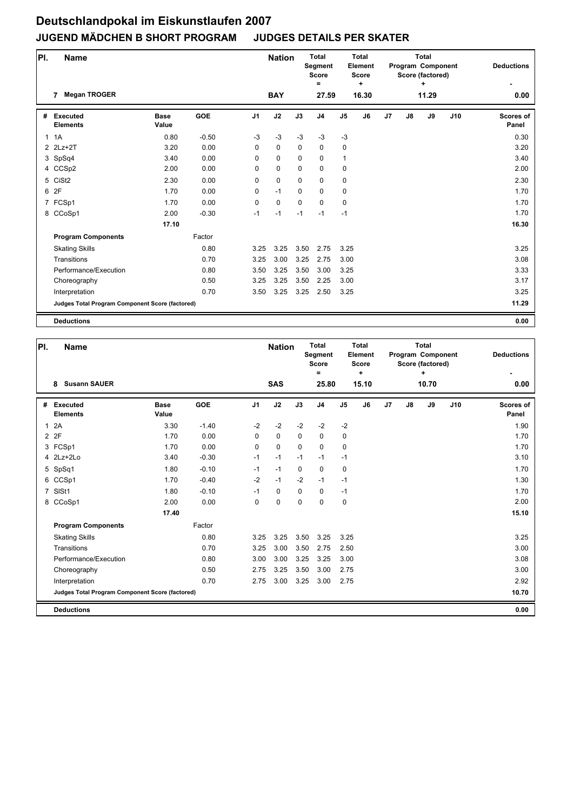| PI. | <b>Name</b>                                     |                      |            |                | <b>Nation</b> |             | <b>Total</b><br>Segment<br><b>Score</b><br>$=$ |                | <b>Total</b><br>Element<br><b>Score</b><br>٠ |    |    | <b>Total</b><br>Program Component<br>Score (factored)<br>٠ |     | <b>Deductions</b>         |
|-----|-------------------------------------------------|----------------------|------------|----------------|---------------|-------------|------------------------------------------------|----------------|----------------------------------------------|----|----|------------------------------------------------------------|-----|---------------------------|
|     | <b>Megan TROGER</b><br>7                        |                      |            |                | <b>BAY</b>    |             | 27.59                                          |                | 16.30                                        |    |    | 11.29                                                      |     | 0.00                      |
| #   | <b>Executed</b><br><b>Elements</b>              | <b>Base</b><br>Value | <b>GOE</b> | J <sub>1</sub> | J2            | J3          | J <sub>4</sub>                                 | J <sub>5</sub> | J6                                           | J7 | J8 | J9                                                         | J10 | <b>Scores of</b><br>Panel |
|     | 1.1A                                            | 0.80                 | $-0.50$    | $-3$           | $-3$          | $-3$        | $-3$                                           | $-3$           |                                              |    |    |                                                            |     | 0.30                      |
|     | 2 2Lz+2T                                        | 3.20                 | 0.00       | 0              | 0             | $\mathbf 0$ | $\mathbf 0$                                    | 0              |                                              |    |    |                                                            |     | 3.20                      |
|     | 3 SpSq4                                         | 3.40                 | 0.00       | 0              | 0             | $\mathbf 0$ | $\mathbf 0$                                    | 1              |                                              |    |    |                                                            |     | 3.40                      |
|     | 4 CCSp2                                         | 2.00                 | 0.00       | 0              | 0             | $\mathbf 0$ | $\mathbf 0$                                    | 0              |                                              |    |    |                                                            |     | 2.00                      |
|     | 5 CiSt2                                         | 2.30                 | 0.00       | 0              | 0             | $\mathbf 0$ | $\mathbf 0$                                    | 0              |                                              |    |    |                                                            |     | 2.30                      |
|     | 6 2F                                            | 1.70                 | 0.00       | 0              | $-1$          | $\Omega$    | $\mathbf 0$                                    | 0              |                                              |    |    |                                                            |     | 1.70                      |
|     | 7 FCSp1                                         | 1.70                 | 0.00       | 0              | 0             | $\mathbf 0$ | $\mathbf 0$                                    | 0              |                                              |    |    |                                                            |     | 1.70                      |
|     | 8 CCoSp1                                        | 2.00                 | $-0.30$    | $-1$           | -1            | $-1$        | $-1$                                           | $-1$           |                                              |    |    |                                                            |     | 1.70                      |
|     |                                                 | 17.10                |            |                |               |             |                                                |                |                                              |    |    |                                                            |     | 16.30                     |
|     | <b>Program Components</b>                       |                      | Factor     |                |               |             |                                                |                |                                              |    |    |                                                            |     |                           |
|     | <b>Skating Skills</b>                           |                      | 0.80       | 3.25           | 3.25          | 3.50        | 2.75                                           | 3.25           |                                              |    |    |                                                            |     | 3.25                      |
|     | Transitions                                     |                      | 0.70       | 3.25           | 3.00          | 3.25        | 2.75                                           | 3.00           |                                              |    |    |                                                            |     | 3.08                      |
|     | Performance/Execution                           |                      | 0.80       | 3.50           | 3.25          | 3.50        | 3.00                                           | 3.25           |                                              |    |    |                                                            |     | 3.33                      |
|     | Choreography                                    |                      | 0.50       | 3.25           | 3.25          | 3.50        | 2.25                                           | 3.00           |                                              |    |    |                                                            |     | 3.17                      |
|     | Interpretation                                  |                      | 0.70       | 3.50           | 3.25          | 3.25        | 2.50                                           | 3.25           |                                              |    |    |                                                            |     | 3.25                      |
|     | Judges Total Program Component Score (factored) |                      |            |                |               |             |                                                |                |                                              |    |    |                                                            |     | 11.29                     |
|     | <b>Deductions</b>                               |                      |            |                |               |             |                                                |                |                                              |    |    |                                                            |     | 0.00                      |

| PI.            | <b>Name</b>                                     |                      |            |                | <b>Nation</b> |          | <b>Total</b><br>Segment<br><b>Score</b><br>$\equiv$ |                | Total<br>Element<br><b>Score</b><br>٠ |    |               | <b>Total</b><br>Program Component<br>Score (factored)<br>÷ |     | <b>Deductions</b>         |
|----------------|-------------------------------------------------|----------------------|------------|----------------|---------------|----------|-----------------------------------------------------|----------------|---------------------------------------|----|---------------|------------------------------------------------------------|-----|---------------------------|
|                | <b>Susann SAUER</b><br>8                        |                      |            |                | <b>SAS</b>    |          | 25.80                                               |                | 15.10                                 |    |               | 10.70                                                      |     | 0.00                      |
| #              | <b>Executed</b><br><b>Elements</b>              | <b>Base</b><br>Value | <b>GOE</b> | J <sub>1</sub> | J2            | J3       | J <sub>4</sub>                                      | J <sub>5</sub> | J6                                    | J7 | $\mathsf{J}8$ | J9                                                         | J10 | <b>Scores of</b><br>Panel |
| $\mathbf{1}$   | 2A                                              | 3.30                 | $-1.40$    | $-2$           | $-2$          | $-2$     | $-2$                                                | $-2$           |                                       |    |               |                                                            |     | 1.90                      |
|                | 2 2F                                            | 1.70                 | 0.00       | 0              | $\mathbf 0$   | $\Omega$ | $\mathbf 0$                                         | $\mathbf 0$    |                                       |    |               |                                                            |     | 1.70                      |
|                | 3 FCSp1                                         | 1.70                 | 0.00       | 0              | $\mathbf 0$   | $\Omega$ | 0                                                   | 0              |                                       |    |               |                                                            |     | 1.70                      |
|                | 4 2Lz+2Lo                                       | 3.40                 | $-0.30$    | $-1$           | $-1$          | $-1$     | $-1$                                                | $-1$           |                                       |    |               |                                                            |     | 3.10                      |
|                | 5 SpSq1                                         | 1.80                 | $-0.10$    | $-1$           | $-1$          | $\Omega$ | $\Omega$                                            | 0              |                                       |    |               |                                                            |     | 1.70                      |
|                | 6 CCSp1                                         | 1.70                 | $-0.40$    | $-2$           | $-1$          | $-2$     | $-1$                                                | $-1$           |                                       |    |               |                                                            |     | 1.30                      |
| $\overline{7}$ | SISt1                                           | 1.80                 | $-0.10$    | $-1$           | $\mathbf 0$   | $\Omega$ | 0                                                   | $-1$           |                                       |    |               |                                                            |     | 1.70                      |
|                | 8 CCoSp1                                        | 2.00                 | 0.00       | 0              | 0             | 0        | 0                                                   | 0              |                                       |    |               |                                                            |     | 2.00                      |
|                |                                                 | 17.40                |            |                |               |          |                                                     |                |                                       |    |               |                                                            |     | 15.10                     |
|                | <b>Program Components</b>                       |                      | Factor     |                |               |          |                                                     |                |                                       |    |               |                                                            |     |                           |
|                | <b>Skating Skills</b>                           |                      | 0.80       | 3.25           | 3.25          | 3.50     | 3.25                                                | 3.25           |                                       |    |               |                                                            |     | 3.25                      |
|                | Transitions                                     |                      | 0.70       | 3.25           | 3.00          | 3.50     | 2.75                                                | 2.50           |                                       |    |               |                                                            |     | 3.00                      |
|                | Performance/Execution                           |                      | 0.80       | 3.00           | 3.00          | 3.25     | 3.25                                                | 3.00           |                                       |    |               |                                                            |     | 3.08                      |
|                | Choreography                                    |                      | 0.50       | 2.75           | 3.25          | 3.50     | 3.00                                                | 2.75           |                                       |    |               |                                                            |     | 3.00                      |
|                | Interpretation                                  |                      | 0.70       | 2.75           | 3.00          | 3.25     | 3.00                                                | 2.75           |                                       |    |               |                                                            |     | 2.92                      |
|                | Judges Total Program Component Score (factored) |                      |            |                |               |          |                                                     |                |                                       |    |               |                                                            |     | 10.70                     |
|                | <b>Deductions</b>                               |                      |            |                |               |          |                                                     |                |                                       |    |               |                                                            |     | 0.00                      |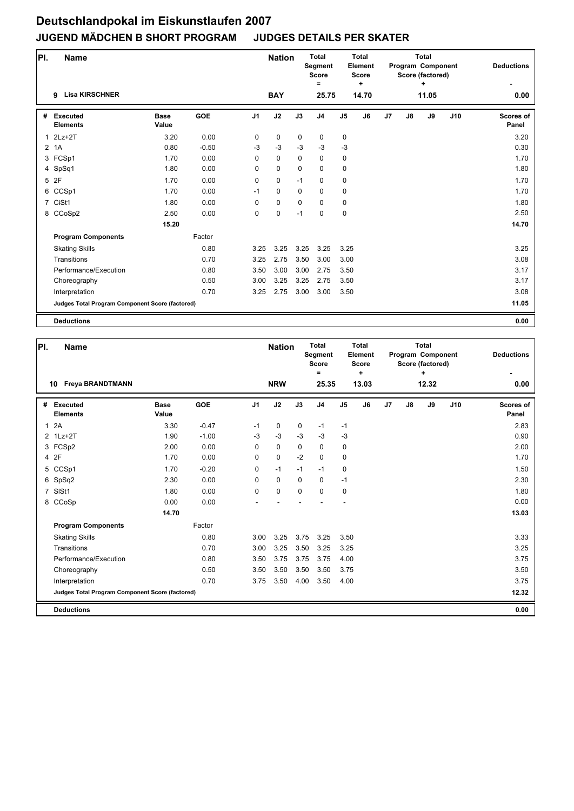| PI.          | <b>Name</b>                                     |                      |            |                | <b>Nation</b> |             | <b>Total</b><br>Segment<br><b>Score</b><br>$=$ |                | <b>Total</b><br>Element<br><b>Score</b><br>٠ |    |    | <b>Total</b><br>Program Component<br>Score (factored)<br>٠ |     | <b>Deductions</b>         |
|--------------|-------------------------------------------------|----------------------|------------|----------------|---------------|-------------|------------------------------------------------|----------------|----------------------------------------------|----|----|------------------------------------------------------------|-----|---------------------------|
|              | <b>Lisa KIRSCHNER</b><br>9                      |                      |            |                | <b>BAY</b>    |             | 25.75                                          |                | 14.70                                        |    |    | 11.05                                                      |     | 0.00                      |
| #            | <b>Executed</b><br><b>Elements</b>              | <b>Base</b><br>Value | <b>GOE</b> | J <sub>1</sub> | J2            | J3          | J <sub>4</sub>                                 | J <sub>5</sub> | J <sub>6</sub>                               | J7 | J8 | J9                                                         | J10 | <b>Scores of</b><br>Panel |
| $\mathbf{1}$ | $2Lz+2T$                                        | 3.20                 | 0.00       | 0              | 0             | $\mathbf 0$ | $\mathbf 0$                                    | 0              |                                              |    |    |                                                            |     | 3.20                      |
|              | 2 1A                                            | 0.80                 | $-0.50$    | $-3$           | $-3$          | $-3$        | $-3$                                           | $-3$           |                                              |    |    |                                                            |     | 0.30                      |
|              | 3 FCSp1                                         | 1.70                 | 0.00       | 0              | 0             | $\mathbf 0$ | $\mathbf 0$                                    | 0              |                                              |    |    |                                                            |     | 1.70                      |
|              | 4 SpSq1                                         | 1.80                 | 0.00       | 0              | 0             | $\mathbf 0$ | $\mathbf 0$                                    | 0              |                                              |    |    |                                                            |     | 1.80                      |
|              | 5 2F                                            | 1.70                 | 0.00       | 0              | 0             | $-1$        | $\mathbf 0$                                    | 0              |                                              |    |    |                                                            |     | 1.70                      |
|              | 6 CCSp1                                         | 1.70                 | 0.00       | $-1$           | 0             | $\Omega$    | $\mathbf 0$                                    | 0              |                                              |    |    |                                                            |     | 1.70                      |
|              | 7 CiSt1                                         | 1.80                 | 0.00       | 0              | 0             | $\mathbf 0$ | $\mathbf 0$                                    | 0              |                                              |    |    |                                                            |     | 1.80                      |
|              | 8 CCoSp2                                        | 2.50                 | 0.00       | 0              | 0             | $-1$        | $\mathbf 0$                                    | 0              |                                              |    |    |                                                            |     | 2.50                      |
|              |                                                 | 15.20                |            |                |               |             |                                                |                |                                              |    |    |                                                            |     | 14.70                     |
|              | <b>Program Components</b>                       |                      | Factor     |                |               |             |                                                |                |                                              |    |    |                                                            |     |                           |
|              | <b>Skating Skills</b>                           |                      | 0.80       | 3.25           | 3.25          | 3.25        | 3.25                                           | 3.25           |                                              |    |    |                                                            |     | 3.25                      |
|              | Transitions                                     |                      | 0.70       | 3.25           | 2.75          | 3.50        | 3.00                                           | 3.00           |                                              |    |    |                                                            |     | 3.08                      |
|              | Performance/Execution                           |                      | 0.80       | 3.50           | 3.00          | 3.00        | 2.75                                           | 3.50           |                                              |    |    |                                                            |     | 3.17                      |
|              | Choreography                                    |                      | 0.50       | 3.00           | 3.25          | 3.25        | 2.75                                           | 3.50           |                                              |    |    |                                                            |     | 3.17                      |
|              | Interpretation                                  |                      | 0.70       | 3.25           | 2.75          | 3.00        | 3.00                                           | 3.50           |                                              |    |    |                                                            |     | 3.08                      |
|              | Judges Total Program Component Score (factored) |                      |            |                |               |             |                                                |                |                                              |    |    |                                                            |     | 11.05                     |
|              | <b>Deductions</b>                               |                      |            |                |               |             |                                                |                |                                              |    |    |                                                            |     | 0.00                      |

| PI.            | <b>Name</b>                                     |                      |            |                | <b>Nation</b> |             | Total<br>Segment<br><b>Score</b><br>$\equiv$ |                | Total<br>Element<br><b>Score</b><br>٠ |    |    | <b>Total</b><br>Program Component<br>Score (factored)<br>$\ddot{}$ |     | <b>Deductions</b>         |
|----------------|-------------------------------------------------|----------------------|------------|----------------|---------------|-------------|----------------------------------------------|----------------|---------------------------------------|----|----|--------------------------------------------------------------------|-----|---------------------------|
|                | <b>Freya BRANDTMANN</b><br>10                   |                      |            |                | <b>NRW</b>    |             | 25.35                                        |                | 13.03                                 |    |    | 12.32                                                              |     | 0.00                      |
| #              | <b>Executed</b><br><b>Elements</b>              | <b>Base</b><br>Value | <b>GOE</b> | J <sub>1</sub> | J2            | J3          | J <sub>4</sub>                               | J <sub>5</sub> | J <sub>6</sub>                        | J7 | J8 | J9                                                                 | J10 | <b>Scores of</b><br>Panel |
| $\mathbf{1}$   | 2A                                              | 3.30                 | $-0.47$    | $-1$           | 0             | $\mathbf 0$ | $-1$                                         | $-1$           |                                       |    |    |                                                                    |     | 2.83                      |
|                | 2 1Lz+2T                                        | 1.90                 | $-1.00$    | $-3$           | $-3$          | $-3$        | $-3$                                         | $-3$           |                                       |    |    |                                                                    |     | 0.90                      |
|                | 3 FCSp2                                         | 2.00                 | 0.00       | 0              | $\mathbf 0$   | $\Omega$    | $\mathbf 0$                                  | 0              |                                       |    |    |                                                                    |     | 2.00                      |
|                | 4 2F                                            | 1.70                 | 0.00       | $\Omega$       | $\mathbf 0$   | $-2$        | $\Omega$                                     | 0              |                                       |    |    |                                                                    |     | 1.70                      |
|                | 5 CCSp1                                         | 1.70                 | $-0.20$    | 0              | $-1$          | $-1$        | $-1$                                         | 0              |                                       |    |    |                                                                    |     | 1.50                      |
|                | 6 SpSq2                                         | 2.30                 | 0.00       | 0              | $\mathbf 0$   | $\mathbf 0$ | $\mathbf 0$                                  | $-1$           |                                       |    |    |                                                                    |     | 2.30                      |
| $\overline{7}$ | SISt1                                           | 1.80                 | 0.00       | $\Omega$       | $\mathbf 0$   | $\mathbf 0$ | $\mathbf 0$                                  | $\mathbf 0$    |                                       |    |    |                                                                    |     | 1.80                      |
| 8              | CCoSp                                           | 0.00                 | 0.00       |                |               |             |                                              |                |                                       |    |    |                                                                    |     | 0.00                      |
|                |                                                 | 14.70                |            |                |               |             |                                              |                |                                       |    |    |                                                                    |     | 13.03                     |
|                | <b>Program Components</b>                       |                      | Factor     |                |               |             |                                              |                |                                       |    |    |                                                                    |     |                           |
|                | <b>Skating Skills</b>                           |                      | 0.80       | 3.00           | 3.25          | 3.75        | 3.25                                         | 3.50           |                                       |    |    |                                                                    |     | 3.33                      |
|                | Transitions                                     |                      | 0.70       | 3.00           | 3.25          | 3.50        | 3.25                                         | 3.25           |                                       |    |    |                                                                    |     | 3.25                      |
|                | Performance/Execution                           |                      | 0.80       | 3.50           | 3.75          | 3.75        | 3.75                                         | 4.00           |                                       |    |    |                                                                    |     | 3.75                      |
|                | Choreography                                    |                      | 0.50       | 3.50           | 3.50          | 3.50        | 3.50                                         | 3.75           |                                       |    |    |                                                                    |     | 3.50                      |
|                | Interpretation                                  |                      | 0.70       | 3.75           | 3.50          | 4.00        | 3.50                                         | 4.00           |                                       |    |    |                                                                    |     | 3.75                      |
|                | Judges Total Program Component Score (factored) |                      |            |                |               |             |                                              |                |                                       |    |    |                                                                    |     | 12.32                     |
|                | <b>Deductions</b>                               |                      |            |                |               |             |                                              |                |                                       |    |    |                                                                    |     | 0.00                      |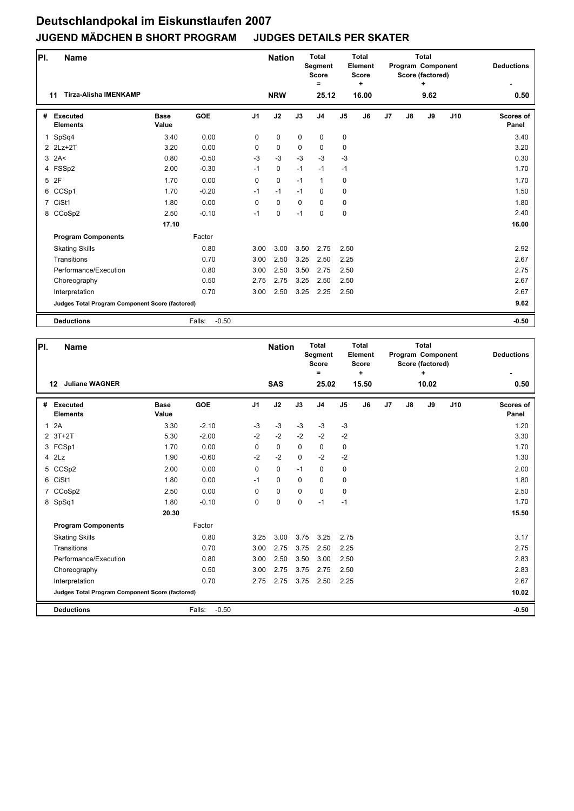| PI.            | <b>Name</b>                                     |                      |                   |                | <b>Nation</b> |             | <b>Total</b><br>Segment<br><b>Score</b><br>$\equiv$ |                | <b>Total</b><br>Element<br><b>Score</b><br>÷ |    |               | <b>Total</b><br>Program Component<br>Score (factored) |     | <b>Deductions</b>         |
|----------------|-------------------------------------------------|----------------------|-------------------|----------------|---------------|-------------|-----------------------------------------------------|----------------|----------------------------------------------|----|---------------|-------------------------------------------------------|-----|---------------------------|
|                | <b>Tirza-Alisha IMENKAMP</b><br>11              |                      |                   |                | <b>NRW</b>    |             | 25.12                                               |                | 16.00                                        |    |               | 9.62                                                  |     | 0.50                      |
| #              | <b>Executed</b><br><b>Elements</b>              | <b>Base</b><br>Value | <b>GOE</b>        | J <sub>1</sub> | J2            | J3          | J <sub>4</sub>                                      | J <sub>5</sub> | J6                                           | J7 | $\mathsf{J}8$ | J9                                                    | J10 | <b>Scores of</b><br>Panel |
| $\mathbf{1}$   | SpSq4                                           | 3.40                 | 0.00              | 0              | 0             | $\mathbf 0$ | 0                                                   | 0              |                                              |    |               |                                                       |     | 3.40                      |
|                | 2 2Lz+2T                                        | 3.20                 | 0.00              | $\mathbf 0$    | $\mathbf 0$   | $\mathbf 0$ | 0                                                   | 0              |                                              |    |               |                                                       |     | 3.20                      |
|                | $3$ 2A<                                         | 0.80                 | $-0.50$           | $-3$           | $-3$          | $-3$        | $-3$                                                | $-3$           |                                              |    |               |                                                       |     | 0.30                      |
|                | 4 FSSp2                                         | 2.00                 | $-0.30$           | $-1$           | $\pmb{0}$     | $-1$        | $-1$                                                | $-1$           |                                              |    |               |                                                       |     | 1.70                      |
|                | 5 2F                                            | 1.70                 | 0.00              | $\mathbf 0$    | $\pmb{0}$     | $-1$        | $\mathbf{1}$                                        | 0              |                                              |    |               |                                                       |     | 1.70                      |
| 6              | CCSp1                                           | 1.70                 | $-0.20$           | $-1$           | $-1$          | $-1$        | $\mathbf 0$                                         | 0              |                                              |    |               |                                                       |     | 1.50                      |
| $\overline{7}$ | CiSt1                                           | 1.80                 | 0.00              | $\Omega$       | 0             | $\Omega$    | $\mathbf 0$                                         | 0              |                                              |    |               |                                                       |     | 1.80                      |
|                | 8 CCoSp2                                        | 2.50                 | $-0.10$           | $-1$           | 0             | $-1$        | $\mathbf 0$                                         | 0              |                                              |    |               |                                                       |     | 2.40                      |
|                |                                                 | 17.10                |                   |                |               |             |                                                     |                |                                              |    |               |                                                       |     | 16.00                     |
|                | <b>Program Components</b>                       |                      | Factor            |                |               |             |                                                     |                |                                              |    |               |                                                       |     |                           |
|                | <b>Skating Skills</b>                           |                      | 0.80              | 3.00           | 3.00          | 3.50        | 2.75                                                | 2.50           |                                              |    |               |                                                       |     | 2.92                      |
|                | Transitions                                     |                      | 0.70              | 3.00           | 2.50          | 3.25        | 2.50                                                | 2.25           |                                              |    |               |                                                       |     | 2.67                      |
|                | Performance/Execution                           |                      | 0.80              | 3.00           | 2.50          | 3.50        | 2.75                                                | 2.50           |                                              |    |               |                                                       |     | 2.75                      |
|                | Choreography                                    |                      | 0.50              | 2.75           | 2.75          | 3.25        | 2.50                                                | 2.50           |                                              |    |               |                                                       |     | 2.67                      |
|                | Interpretation                                  |                      | 0.70              | 3.00           | 2.50          | 3.25        | 2.25                                                | 2.50           |                                              |    |               |                                                       |     | 2.67                      |
|                | Judges Total Program Component Score (factored) |                      |                   |                |               |             |                                                     |                |                                              |    |               |                                                       |     | 9.62                      |
|                | <b>Deductions</b>                               |                      | $-0.50$<br>Falls: |                |               |             |                                                     |                |                                              |    |               |                                                       |     | $-0.50$                   |

| PI.          | <b>Name</b>                                     |                      |                   |                | <b>Nation</b> |             | <b>Total</b><br>Segment<br><b>Score</b><br>$=$ |                | <b>Total</b><br>Element<br><b>Score</b><br>$\ddot{}$ |    |               | <b>Total</b><br>Program Component<br>Score (factored)<br>+ |     | <b>Deductions</b>  |
|--------------|-------------------------------------------------|----------------------|-------------------|----------------|---------------|-------------|------------------------------------------------|----------------|------------------------------------------------------|----|---------------|------------------------------------------------------------|-----|--------------------|
|              | <b>Juliane WAGNER</b><br>$12 \,$                |                      |                   |                | <b>SAS</b>    |             | 25.02                                          |                | 15.50                                                |    |               | 10.02                                                      |     | 0.50               |
| #            | <b>Executed</b><br><b>Elements</b>              | <b>Base</b><br>Value | GOE               | J <sub>1</sub> | J2            | J3          | J <sub>4</sub>                                 | J <sub>5</sub> | J6                                                   | J7 | $\mathsf{J}8$ | J9                                                         | J10 | Scores of<br>Panel |
| $\mathbf{1}$ | 2A                                              | 3.30                 | $-2.10$           | $-3$           | $-3$          | $-3$        | $-3$                                           | $-3$           |                                                      |    |               |                                                            |     | 1.20               |
|              | $2$ 3T+2T                                       | 5.30                 | $-2.00$           | $-2$           | $-2$          | $-2$        | $-2$                                           | $-2$           |                                                      |    |               |                                                            |     | 3.30               |
|              | 3 FCSp1                                         | 1.70                 | 0.00              | 0              | $\mathbf 0$   | $\Omega$    | $\mathbf 0$                                    | 0              |                                                      |    |               |                                                            |     | 1.70               |
|              | $4$ $2Lz$                                       | 1.90                 | $-0.60$           | $-2$           | $-2$          | $\Omega$    | $-2$                                           | $-2$           |                                                      |    |               |                                                            |     | 1.30               |
|              | 5 CCSp2                                         | 2.00                 | 0.00              | 0              | $\mathbf 0$   | $-1$        | $\mathbf 0$                                    | 0              |                                                      |    |               |                                                            |     | 2.00               |
|              | 6 CiSt1                                         | 1.80                 | 0.00              | $-1$           | $\mathbf 0$   | $\mathbf 0$ | $\mathbf 0$                                    | 0              |                                                      |    |               |                                                            |     | 1.80               |
|              | 7 CCoSp2                                        | 2.50                 | 0.00              | $\Omega$       | $\mathbf 0$   | $\mathbf 0$ | $\mathbf 0$                                    | 0              |                                                      |    |               |                                                            |     | 2.50               |
|              | 8 SpSq1                                         | 1.80                 | $-0.10$           | 0              | 0             | 0           | $-1$                                           | $-1$           |                                                      |    |               |                                                            |     | 1.70               |
|              |                                                 | 20.30                |                   |                |               |             |                                                |                |                                                      |    |               |                                                            |     | 15.50              |
|              | <b>Program Components</b>                       |                      | Factor            |                |               |             |                                                |                |                                                      |    |               |                                                            |     |                    |
|              | <b>Skating Skills</b>                           |                      | 0.80              | 3.25           | 3.00          | 3.75        | 3.25                                           | 2.75           |                                                      |    |               |                                                            |     | 3.17               |
|              | Transitions                                     |                      | 0.70              | 3.00           | 2.75          | 3.75        | 2.50                                           | 2.25           |                                                      |    |               |                                                            |     | 2.75               |
|              | Performance/Execution                           |                      | 0.80              | 3.00           | 2.50          | 3.50        | 3.00                                           | 2.50           |                                                      |    |               |                                                            |     | 2.83               |
|              | Choreography                                    |                      | 0.50              | 3.00           | 2.75          | 3.75        | 2.75                                           | 2.50           |                                                      |    |               |                                                            |     | 2.83               |
|              | Interpretation                                  |                      | 0.70              | 2.75           | 2.75          | 3.75        | 2.50                                           | 2.25           |                                                      |    |               |                                                            |     | 2.67               |
|              | Judges Total Program Component Score (factored) |                      |                   |                |               |             |                                                |                |                                                      |    |               |                                                            |     | 10.02              |
|              | <b>Deductions</b>                               |                      | $-0.50$<br>Falls: |                |               |             |                                                |                |                                                      |    |               |                                                            |     | $-0.50$            |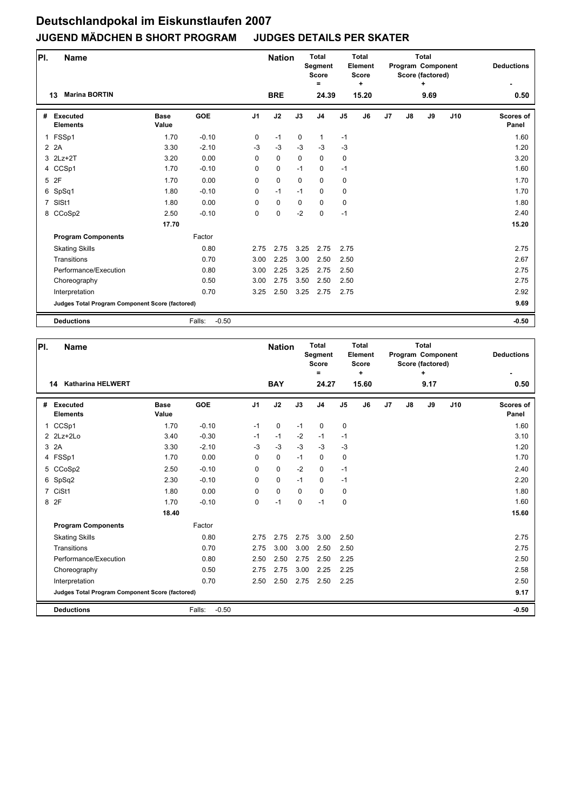| PI.            | <b>Name</b>                                     |                      |                   |                | <b>Nation</b> |             | <b>Total</b><br><b>Segment</b><br><b>Score</b><br>$\equiv$ |                | <b>Total</b><br>Element<br><b>Score</b><br>٠ |    |               | <b>Total</b><br>Program Component<br>Score (factored) |     | <b>Deductions</b>         |
|----------------|-------------------------------------------------|----------------------|-------------------|----------------|---------------|-------------|------------------------------------------------------------|----------------|----------------------------------------------|----|---------------|-------------------------------------------------------|-----|---------------------------|
|                | <b>Marina BORTIN</b><br>13                      |                      |                   |                | <b>BRE</b>    |             | 24.39                                                      |                | 15.20                                        |    |               | 9.69                                                  |     | 0.50                      |
| #              | <b>Executed</b><br><b>Elements</b>              | <b>Base</b><br>Value | <b>GOE</b>        | J <sub>1</sub> | J2            | J3          | J <sub>4</sub>                                             | J <sub>5</sub> | J <sub>6</sub>                               | J7 | $\mathsf{J}8$ | J9                                                    | J10 | <b>Scores of</b><br>Panel |
|                | 1 FSSp1                                         | 1.70                 | $-0.10$           | 0              | $-1$          | $\mathbf 0$ | $\mathbf{1}$                                               | $-1$           |                                              |    |               |                                                       |     | 1.60                      |
|                | 2 2 A                                           | 3.30                 | $-2.10$           | $-3$           | $-3$          | $-3$        | $-3$                                                       | $-3$           |                                              |    |               |                                                       |     | 1.20                      |
|                | 3 2Lz+2T                                        | 3.20                 | 0.00              | $\mathbf 0$    | $\mathbf 0$   | $\mathbf 0$ | $\mathbf 0$                                                | 0              |                                              |    |               |                                                       |     | 3.20                      |
|                | 4 CCSp1                                         | 1.70                 | $-0.10$           | $\mathbf 0$    | $\pmb{0}$     | $-1$        | $\mathbf 0$                                                | $-1$           |                                              |    |               |                                                       |     | 1.60                      |
|                | 5 2F                                            | 1.70                 | 0.00              | $\mathbf 0$    | $\pmb{0}$     | $\Omega$    | 0                                                          | 0              |                                              |    |               |                                                       |     | 1.70                      |
| 6              | SpSq1                                           | 1.80                 | $-0.10$           | $\mathbf 0$    | $-1$          | $-1$        | $\mathbf 0$                                                | 0              |                                              |    |               |                                                       |     | 1.70                      |
| $\overline{7}$ | SISt1                                           | 1.80                 | 0.00              | $\mathbf 0$    | 0             | $\mathbf 0$ | $\mathbf 0$                                                | 0              |                                              |    |               |                                                       |     | 1.80                      |
|                | 8 CCoSp2                                        | 2.50                 | $-0.10$           | $\mathbf 0$    | 0             | $-2$        | $\mathbf 0$                                                | $-1$           |                                              |    |               |                                                       |     | 2.40                      |
|                |                                                 | 17.70                |                   |                |               |             |                                                            |                |                                              |    |               |                                                       |     | 15.20                     |
|                | <b>Program Components</b>                       |                      | Factor            |                |               |             |                                                            |                |                                              |    |               |                                                       |     |                           |
|                | <b>Skating Skills</b>                           |                      | 0.80              | 2.75           | 2.75          | 3.25        | 2.75                                                       | 2.75           |                                              |    |               |                                                       |     | 2.75                      |
|                | Transitions                                     |                      | 0.70              | 3.00           | 2.25          | 3.00        | 2.50                                                       | 2.50           |                                              |    |               |                                                       |     | 2.67                      |
|                | Performance/Execution                           |                      | 0.80              | 3.00           | 2.25          | 3.25        | 2.75                                                       | 2.50           |                                              |    |               |                                                       |     | 2.75                      |
|                | Choreography                                    |                      | 0.50              | 3.00           | 2.75          | 3.50        | 2.50                                                       | 2.50           |                                              |    |               |                                                       |     | 2.75                      |
|                | Interpretation                                  |                      | 0.70              | 3.25           | 2.50          | 3.25        | 2.75                                                       | 2.75           |                                              |    |               |                                                       |     | 2.92                      |
|                | Judges Total Program Component Score (factored) |                      |                   |                |               |             |                                                            |                |                                              |    |               | 9.69                                                  |     |                           |
|                | <b>Deductions</b>                               |                      | $-0.50$<br>Falls: |                |               |             |                                                            |                |                                              |    |               |                                                       |     | $-0.50$                   |

| PI.            | <b>Name</b>                                     |                      |                   |                | <b>Nation</b> |             | <b>Total</b><br>Segment<br><b>Score</b><br>$\equiv$ |               | <b>Total</b><br>Element<br><b>Score</b><br>$\ddot{}$ |    |               | <b>Total</b><br>Program Component<br>Score (factored)<br>÷ |     | <b>Deductions</b>  |
|----------------|-------------------------------------------------|----------------------|-------------------|----------------|---------------|-------------|-----------------------------------------------------|---------------|------------------------------------------------------|----|---------------|------------------------------------------------------------|-----|--------------------|
|                | <b>Katharina HELWERT</b><br>14                  |                      |                   |                | <b>BAY</b>    |             | 24.27                                               |               | 15.60                                                |    |               | 9.17                                                       |     | 0.50               |
| #              | <b>Executed</b><br><b>Elements</b>              | <b>Base</b><br>Value | GOE               | J <sub>1</sub> | J2            | J3          | J <sub>4</sub>                                      | $\mathsf{J}5$ | J6                                                   | J7 | $\mathsf{J}8$ | J9                                                         | J10 | Scores of<br>Panel |
|                | 1 CCSp1                                         | 1.70                 | $-0.10$           | $-1$           | $\mathbf 0$   | $-1$        | $\mathbf 0$                                         | 0             |                                                      |    |               |                                                            |     | 1.60               |
|                | $2$ $2$ Lz+ $2$ Lo                              | 3.40                 | $-0.30$           | $-1$           | $-1$          | $-2$        | $-1$                                                | $-1$          |                                                      |    |               |                                                            |     | 3.10               |
| 3              | 2A                                              | 3.30                 | $-2.10$           | $-3$           | $-3$          | $-3$        | $-3$                                                | $-3$          |                                                      |    |               |                                                            |     | 1.20               |
|                | 4 FSSp1                                         | 1.70                 | 0.00              | 0              | $\pmb{0}$     | $-1$        | 0                                                   | 0             |                                                      |    |               |                                                            |     | 1.70               |
|                | 5 CCoSp2                                        | 2.50                 | $-0.10$           | $\Omega$       | $\mathbf 0$   | $-2$        | $\mathbf 0$                                         | $-1$          |                                                      |    |               |                                                            |     | 2.40               |
|                | 6 SpSq2                                         | 2.30                 | $-0.10$           | 0              | $\pmb{0}$     | $-1$        | 0                                                   | $-1$          |                                                      |    |               |                                                            |     | 2.20               |
| $\overline{7}$ | CiSt1                                           | 1.80                 | 0.00              | 0              | $\mathbf 0$   | $\mathbf 0$ | $\mathbf 0$                                         | 0             |                                                      |    |               |                                                            |     | 1.80               |
|                | 8 2F                                            | 1.70                 | $-0.10$           | 0              | $-1$          | 0           | $-1$                                                | 0             |                                                      |    |               |                                                            |     | 1.60               |
|                |                                                 | 18.40                |                   |                |               |             |                                                     |               |                                                      |    |               |                                                            |     | 15.60              |
|                | <b>Program Components</b>                       |                      | Factor            |                |               |             |                                                     |               |                                                      |    |               |                                                            |     |                    |
|                | <b>Skating Skills</b>                           |                      | 0.80              | 2.75           | 2.75          | 2.75        | 3.00                                                | 2.50          |                                                      |    |               |                                                            |     | 2.75               |
|                | Transitions                                     |                      | 0.70              | 2.75           | 3.00          | 3.00        | 2.50                                                | 2.50          |                                                      |    |               |                                                            |     | 2.75               |
|                | Performance/Execution                           |                      | 0.80              | 2.50           | 2.50          | 2.75        | 2.50                                                | 2.25          |                                                      |    |               |                                                            |     | 2.50               |
|                | Choreography                                    |                      | 0.50              | 2.75           | 2.75          | 3.00        | 2.25                                                | 2.25          |                                                      |    |               |                                                            |     | 2.58               |
|                | Interpretation                                  |                      | 0.70              | 2.50           | 2.50          | 2.75        | 2.50                                                | 2.25          |                                                      |    |               |                                                            |     | 2.50               |
|                | Judges Total Program Component Score (factored) |                      |                   |                |               |             |                                                     |               |                                                      |    |               |                                                            |     | 9.17               |
|                | <b>Deductions</b>                               |                      | $-0.50$<br>Falls: |                |               |             |                                                     |               |                                                      |    |               |                                                            |     | $-0.50$            |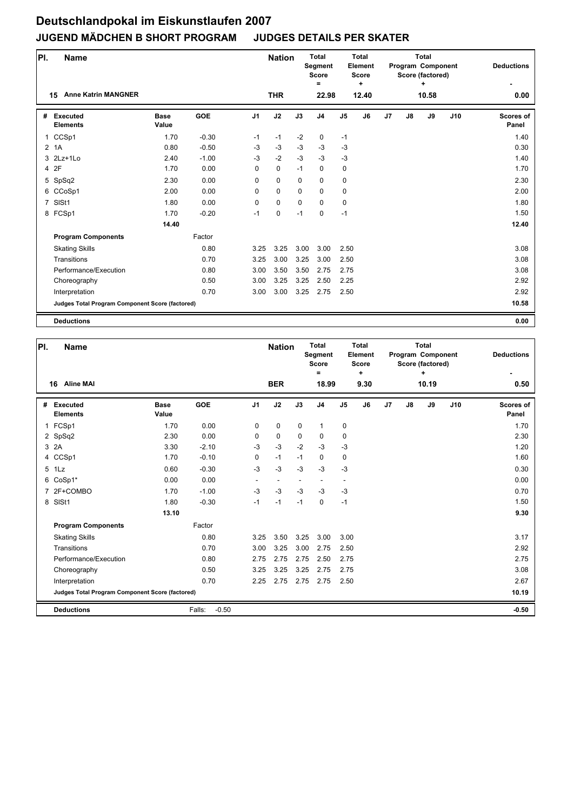| PI.            | <b>Name</b>                                     |                      |            |                | <b>Nation</b> |             | <b>Total</b><br><b>Segment</b><br><b>Score</b><br>Ξ |                | <b>Total</b><br>Element<br><b>Score</b><br>٠ |    |    | <b>Total</b><br>Program Component<br>Score (factored)<br>+ |     | <b>Deductions</b>         |
|----------------|-------------------------------------------------|----------------------|------------|----------------|---------------|-------------|-----------------------------------------------------|----------------|----------------------------------------------|----|----|------------------------------------------------------------|-----|---------------------------|
|                | <b>Anne Katrin MANGNER</b><br>15                |                      |            |                | <b>THR</b>    |             | 22.98                                               |                | 12.40                                        |    |    | 10.58                                                      |     | 0.00                      |
| #              | <b>Executed</b><br><b>Elements</b>              | <b>Base</b><br>Value | <b>GOE</b> | J <sub>1</sub> | J2            | J3          | J <sub>4</sub>                                      | J <sub>5</sub> | J6                                           | J7 | J8 | J9                                                         | J10 | <b>Scores of</b><br>Panel |
|                | 1 CCSp1                                         | 1.70                 | $-0.30$    | $-1$           | $-1$          | $-2$        | 0                                                   | $-1$           |                                              |    |    |                                                            |     | 1.40                      |
|                | 2 1A                                            | 0.80                 | $-0.50$    | $-3$           | $-3$          | $-3$        | $-3$                                                | $-3$           |                                              |    |    |                                                            |     | 0.30                      |
|                | 3 2Lz+1Lo                                       | 2.40                 | $-1.00$    | $-3$           | $-2$          | $-3$        | $-3$                                                | $-3$           |                                              |    |    |                                                            |     | 1.40                      |
|                | 4 2F                                            | 1.70                 | 0.00       | $\Omega$       | $\mathbf 0$   | $-1$        | $\mathbf 0$                                         | 0              |                                              |    |    |                                                            |     | 1.70                      |
|                | 5 SpSq2                                         | 2.30                 | 0.00       | $\mathbf 0$    | 0             | 0           | 0                                                   | 0              |                                              |    |    |                                                            |     | 2.30                      |
|                | 6 CCoSp1                                        | 2.00                 | 0.00       | $\mathbf 0$    | $\mathbf 0$   | $\mathbf 0$ | 0                                                   | 0              |                                              |    |    |                                                            |     | 2.00                      |
| $\overline{7}$ | SISt1                                           | 1.80                 | 0.00       | $\mathbf 0$    | $\pmb{0}$     | $\mathbf 0$ | 0                                                   | 0              |                                              |    |    |                                                            |     | 1.80                      |
|                | 8 FCSp1                                         | 1.70                 | $-0.20$    | $-1$           | 0             | $-1$        | $\mathbf 0$                                         | $-1$           |                                              |    |    |                                                            |     | 1.50                      |
|                |                                                 | 14.40                |            |                |               |             |                                                     |                |                                              |    |    |                                                            |     | 12.40                     |
|                | <b>Program Components</b>                       |                      | Factor     |                |               |             |                                                     |                |                                              |    |    |                                                            |     |                           |
|                | <b>Skating Skills</b>                           |                      | 0.80       | 3.25           | 3.25          | 3.00        | 3.00                                                | 2.50           |                                              |    |    |                                                            |     | 3.08                      |
|                | Transitions                                     |                      | 0.70       | 3.25           | 3.00          | 3.25        | 3.00                                                | 2.50           |                                              |    |    |                                                            |     | 3.08                      |
|                | Performance/Execution                           |                      | 0.80       | 3.00           | 3.50          | 3.50        | 2.75                                                | 2.75           |                                              |    |    |                                                            |     | 3.08                      |
|                | Choreography                                    |                      | 0.50       | 3.00           | 3.25          | 3.25        | 2.50                                                | 2.25           |                                              |    |    |                                                            |     | 2.92                      |
|                | Interpretation                                  |                      | 0.70       | 3.00           | 3.00          | 3.25        | 2.75                                                | 2.50           |                                              |    |    |                                                            |     | 2.92                      |
|                | Judges Total Program Component Score (factored) |                      |            |                |               |             |                                                     |                |                                              |    |    |                                                            |     | 10.58                     |
|                | <b>Deductions</b>                               |                      |            |                |               |             |                                                     |                |                                              |    |    |                                                            |     | 0.00                      |

| PI. | Name                                            |                      |                   |                | <b>Nation</b>            |             | Total<br>Segment<br><b>Score</b><br>Ξ |                          | <b>Total</b><br>Element<br><b>Score</b><br>٠ |    |    | <b>Total</b><br>Program Component<br>Score (factored)<br>۰. |     | <b>Deductions</b>         |
|-----|-------------------------------------------------|----------------------|-------------------|----------------|--------------------------|-------------|---------------------------------------|--------------------------|----------------------------------------------|----|----|-------------------------------------------------------------|-----|---------------------------|
|     | <b>Aline MAI</b><br>16                          |                      |                   |                | <b>BER</b>               |             | 18.99                                 |                          | 9.30                                         |    |    | 10.19                                                       |     | 0.50                      |
| #   | <b>Executed</b><br><b>Elements</b>              | <b>Base</b><br>Value | <b>GOE</b>        | J <sub>1</sub> | J2                       | J3          | J <sub>4</sub>                        | J <sub>5</sub>           | J6                                           | J7 | J8 | J9                                                          | J10 | <b>Scores of</b><br>Panel |
|     | 1 FCSp1                                         | 1.70                 | 0.00              | $\mathbf 0$    | $\mathbf 0$              | $\mathbf 0$ | 1                                     | $\pmb{0}$                |                                              |    |    |                                                             |     | 1.70                      |
|     | 2 SpSq2                                         | 2.30                 | 0.00              | $\mathbf 0$    | $\mathbf 0$              | $\mathbf 0$ | 0                                     | 0                        |                                              |    |    |                                                             |     | 2.30                      |
| 3   | 2A                                              | 3.30                 | $-2.10$           | $-3$           | $-3$                     | $-2$        | $-3$                                  | $-3$                     |                                              |    |    |                                                             |     | 1.20                      |
|     | 4 CCSp1                                         | 1.70                 | $-0.10$           | $\mathbf 0$    | $-1$                     | $-1$        | $\mathbf 0$                           | 0                        |                                              |    |    |                                                             |     | 1.60                      |
|     | 5 1Lz                                           | 0.60                 | $-0.30$           | $-3$           | $-3$                     | $-3$        | $-3$                                  | $-3$                     |                                              |    |    |                                                             |     | 0.30                      |
|     | 6 CoSp1*                                        | 0.00                 | 0.00              | ٠              | $\overline{\phantom{a}}$ |             | ٠                                     | $\overline{\phantom{a}}$ |                                              |    |    |                                                             |     | 0.00                      |
| 7   | 2F+COMBO                                        | 1.70                 | $-1.00$           | $-3$           | $-3$                     | $-3$        | $-3$                                  | $-3$                     |                                              |    |    |                                                             |     | 0.70                      |
| 8   | SISt1                                           | 1.80                 | $-0.30$           | $-1$           | $-1$                     | $-1$        | 0                                     | $-1$                     |                                              |    |    |                                                             |     | 1.50                      |
|     |                                                 | 13.10                |                   |                |                          |             |                                       |                          |                                              |    |    |                                                             |     | 9.30                      |
|     | <b>Program Components</b>                       |                      | Factor            |                |                          |             |                                       |                          |                                              |    |    |                                                             |     |                           |
|     | <b>Skating Skills</b>                           |                      | 0.80              | 3.25           | 3.50                     | 3.25        | 3.00                                  | 3.00                     |                                              |    |    |                                                             |     | 3.17                      |
|     | Transitions                                     |                      | 0.70              | 3.00           | 3.25                     | 3.00        | 2.75                                  | 2.50                     |                                              |    |    |                                                             |     | 2.92                      |
|     | Performance/Execution                           |                      | 0.80              | 2.75           | 2.75                     | 2.75        | 2.50                                  | 2.75                     |                                              |    |    |                                                             |     | 2.75                      |
|     | Choreography                                    |                      | 0.50              | 3.25           | 3.25                     | 3.25        | 2.75                                  | 2.75                     |                                              |    |    |                                                             |     | 3.08                      |
|     | Interpretation                                  |                      | 0.70              | 2.25           | 2.75                     | 2.75        | 2.75                                  | 2.50                     |                                              |    |    |                                                             |     | 2.67                      |
|     | Judges Total Program Component Score (factored) |                      |                   |                |                          |             |                                       |                          |                                              |    |    |                                                             |     | 10.19                     |
|     | <b>Deductions</b>                               |                      | $-0.50$<br>Falls: |                |                          |             |                                       |                          |                                              |    |    |                                                             |     | $-0.50$                   |